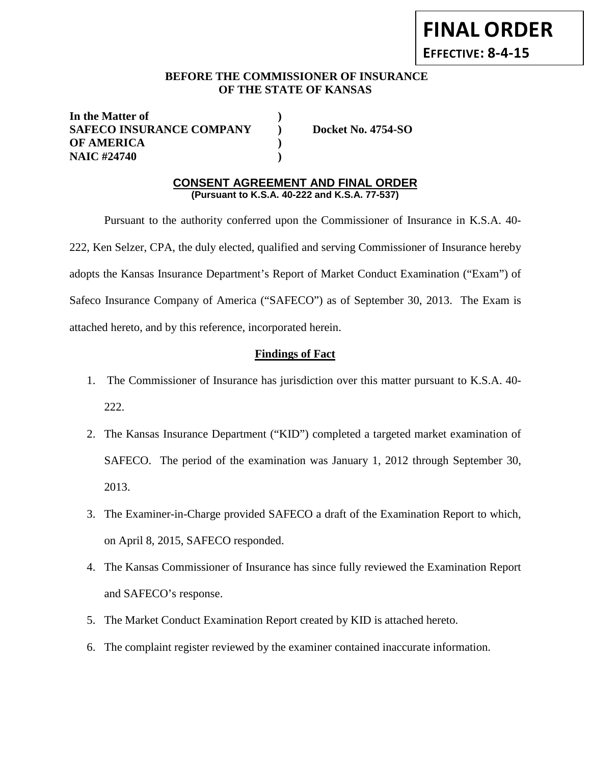# **FINAL ORDER**

**EFFECTIVE: 8-4-15**

## **BEFORE THE COMMISSIONER OF INSURANCE OF THE STATE OF KANSAS**

**In the Matter of ) SAFECO INSURANCE COMPANY ) Docket No. 4754-SO OF AMERICA ) NAIC #24740 )**

## **CONSENT AGREEMENT AND FINAL ORDER (Pursuant to K.S.A. 40-222 and K.S.A. 77-537)**

Pursuant to the authority conferred upon the Commissioner of Insurance in K.S.A. 40- 222, Ken Selzer, CPA, the duly elected, qualified and serving Commissioner of Insurance hereby adopts the Kansas Insurance Department's Report of Market Conduct Examination ("Exam") of Safeco Insurance Company of America ("SAFECO") as of September 30, 2013. The Exam is attached hereto, and by this reference, incorporated herein.

## **Findings of Fact**

- 1. The Commissioner of Insurance has jurisdiction over this matter pursuant to K.S.A. 40- 222.
- 2. The Kansas Insurance Department ("KID") completed a targeted market examination of SAFECO. The period of the examination was January 1, 2012 through September 30, 2013.
- 3. The Examiner-in-Charge provided SAFECO a draft of the Examination Report to which, on April 8, 2015, SAFECO responded.
- 4. The Kansas Commissioner of Insurance has since fully reviewed the Examination Report and SAFECO's response.
- 5. The Market Conduct Examination Report created by KID is attached hereto.
- 6. The complaint register reviewed by the examiner contained inaccurate information.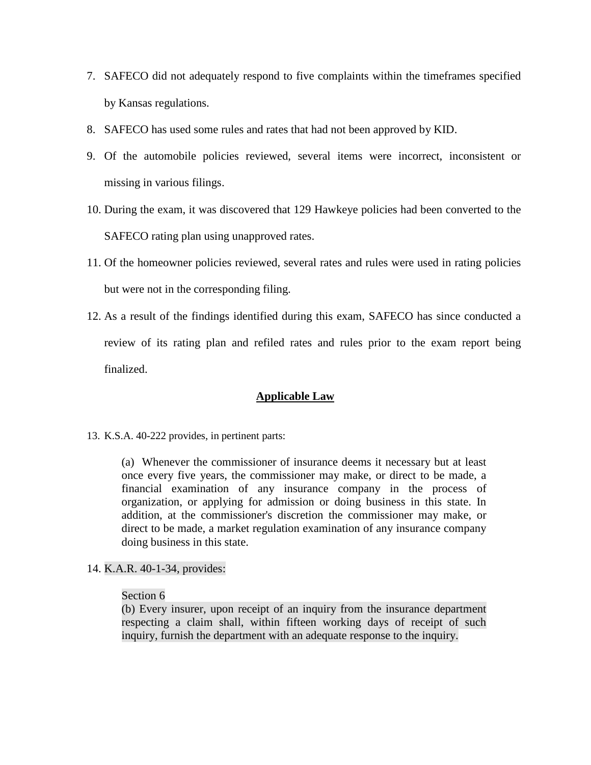- 7. SAFECO did not adequately respond to five complaints within the timeframes specified by Kansas regulations.
- 8. SAFECO has used some rules and rates that had not been approved by KID.
- 9. Of the automobile policies reviewed, several items were incorrect, inconsistent or missing in various filings.
- 10. During the exam, it was discovered that 129 Hawkeye policies had been converted to the SAFECO rating plan using unapproved rates.
- 11. Of the homeowner policies reviewed, several rates and rules were used in rating policies but were not in the corresponding filing.
- 12. As a result of the findings identified during this exam, SAFECO has since conducted a review of its rating plan and refiled rates and rules prior to the exam report being finalized.

## **Applicable Law**

13. K.S.A. 40-222 provides, in pertinent parts:

(a) Whenever the commissioner of insurance deems it necessary but at least once every five years, the commissioner may make, or direct to be made, a financial examination of any insurance company in the process of organization, or applying for admission or doing business in this state. In addition, at the commissioner's discretion the commissioner may make, or direct to be made, a market regulation examination of any insurance company doing business in this state.

14. K.A.R. 40-1-34, provides:

#### Section 6

(b) Every insurer, upon receipt of an inquiry from the insurance department respecting a claim shall, within fifteen working days of receipt of such inquiry, furnish the department with an adequate response to the inquiry.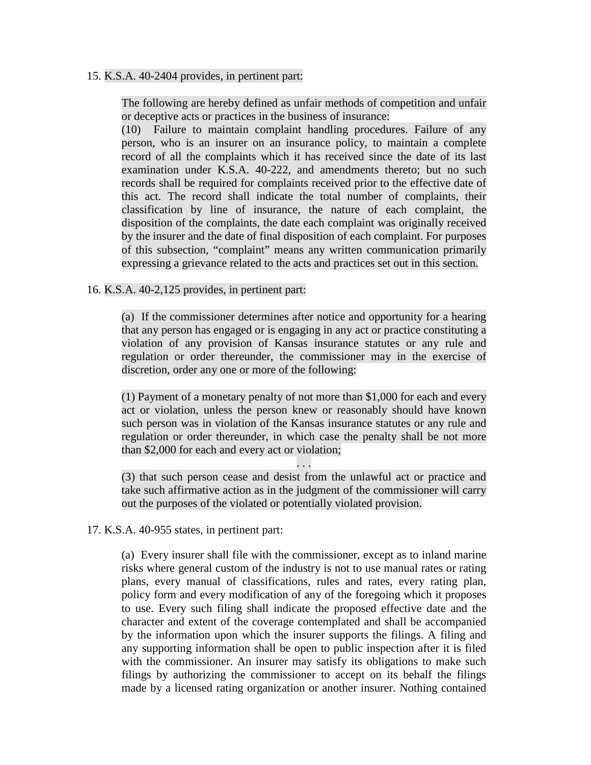#### 15. K.S.A. 40-2404 provides, in pertinent part:

The following are hereby defined as unfair methods of competition and unfair or deceptive acts or practices in the business of insurance:

(10) Failure to maintain complaint handling procedures. Failure of any person, who is an insurer on an insurance policy, to maintain a complete record of all the complaints which it has received since the date of its last examination under K.S.A. 40-222, and amendments thereto; but no such records shall be required for complaints received prior to the effective date of this act. The record shall indicate the total number of complaints, their classification by line of insurance, the nature of each complaint, the disposition of the complaints, the date each complaint was originally received by the insurer and the date of final disposition of each complaint. For purposes of this subsection, "complaint" means any written communication primarily expressing a grievance related to the acts and practices set out in this section.

## 16. K.S.A. 40-2,125 provides, in pertinent part:

(a) If the commissioner determines after notice and opportunity for a hearing that any person has engaged or is engaging in any act or practice constituting a violation of any provision of Kansas insurance statutes or any rule and regulation or order thereunder, the commissioner may in the exercise of discretion, order any one or more of the following:

(1) Payment of a monetary penalty of not more than \$1,000 for each and every act or violation, unless the person knew or reasonably should have known such person was in violation of the Kansas insurance statutes or any rule and regulation or order thereunder, in which case the penalty shall be not more than \$2,000 for each and every act or violation;

. . .

(3) that such person cease and desist from the unlawful act or practice and take such affirmative action as in the judgment of the commissioner will carry out the purposes of the violated or potentially violated provision.

#### 17. K.S.A. 40-955 states, in pertinent part:

(a) Every insurer shall file with the commissioner, except as to inland marine risks where general custom of the industry is not to use manual rates or rating plans, every manual of classifications, rules and rates, every rating plan, policy form and every modification of any of the foregoing which it proposes to use. Every such filing shall indicate the proposed effective date and the character and extent of the coverage contemplated and shall be accompanied by the information upon which the insurer supports the filings. A filing and any supporting information shall be open to public inspection after it is filed with the commissioner. An insurer may satisfy its obligations to make such filings by authorizing the commissioner to accept on its behalf the filings made by a licensed rating organization or another insurer. Nothing contained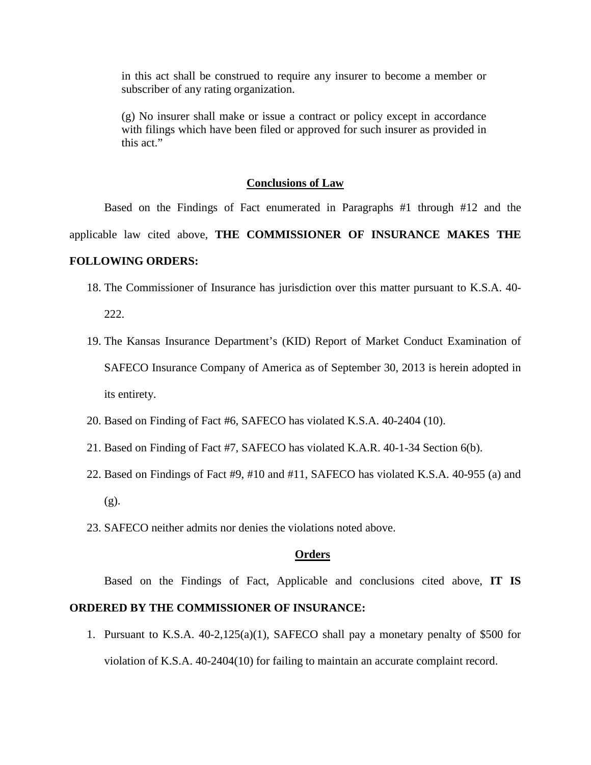in this act shall be construed to require any insurer to become a member or subscriber of any rating organization.

(g) No insurer shall make or issue a contract or policy except in accordance with filings which have been filed or approved for such insurer as provided in this act."

#### **Conclusions of Law**

Based on the Findings of Fact enumerated in Paragraphs #1 through #12 and the applicable law cited above, **THE COMMISSIONER OF INSURANCE MAKES THE** 

#### **FOLLOWING ORDERS:**

- 18. The Commissioner of Insurance has jurisdiction over this matter pursuant to K.S.A. 40- 222.
- 19. The Kansas Insurance Department's (KID) Report of Market Conduct Examination of SAFECO Insurance Company of America as of September 30, 2013 is herein adopted in its entirety.
- 20. Based on Finding of Fact #6, SAFECO has violated K.S.A. 40-2404 (10).
- 21. Based on Finding of Fact #7, SAFECO has violated K.A.R. 40-1-34 Section 6(b).
- 22. Based on Findings of Fact #9, #10 and #11, SAFECO has violated K.S.A. 40-955 (a) and  $(g)$ .
- 23. SAFECO neither admits nor denies the violations noted above.

#### **Orders**

Based on the Findings of Fact, Applicable and conclusions cited above, **IT IS** 

## **ORDERED BY THE COMMISSIONER OF INSURANCE:**

1. Pursuant to K.S.A. 40-2,125(a)(1), SAFECO shall pay a monetary penalty of \$500 for violation of K.S.A. 40-2404(10) for failing to maintain an accurate complaint record.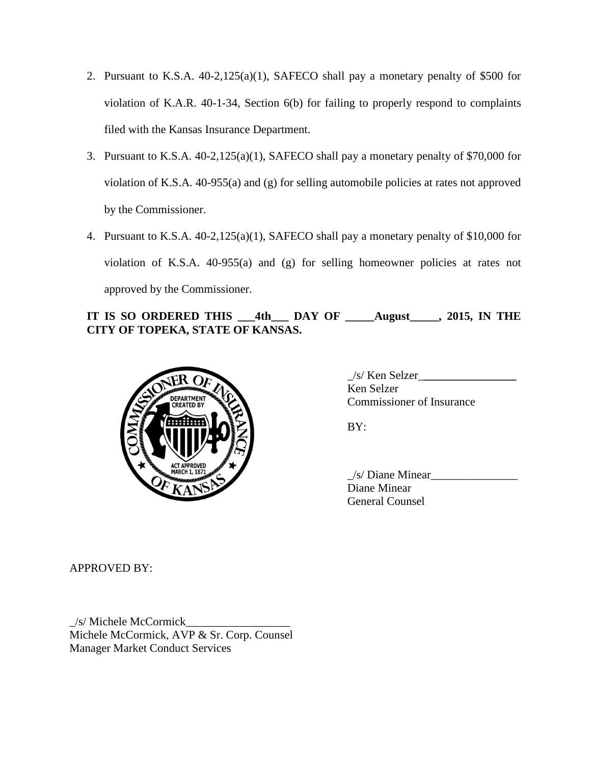- 2. Pursuant to K.S.A. 40-2,125(a)(1), SAFECO shall pay a monetary penalty of \$500 for violation of K.A.R. 40-1-34, Section 6(b) for failing to properly respond to complaints filed with the Kansas Insurance Department.
- 3. Pursuant to K.S.A. 40-2,125(a)(1), SAFECO shall pay a monetary penalty of \$70,000 for violation of K.S.A. 40-955(a) and (g) for selling automobile policies at rates not approved by the Commissioner.
- 4. Pursuant to K.S.A. 40-2,125(a)(1), SAFECO shall pay a monetary penalty of \$10,000 for violation of K.S.A. 40-955(a) and (g) for selling homeowner policies at rates not approved by the Commissioner.

## **IT IS SO ORDERED THIS \_\_\_4th\_\_\_ DAY OF \_\_\_\_\_August\_\_\_\_\_, 2015, IN THE CITY OF TOPEKA, STATE OF KANSAS.**



\_/s/ Ken Selzer\_**\_\_\_\_\_\_\_\_\_\_\_\_\_\_\_\_** Ken Selzer Commissioner of Insurance

BY:

 $/s$  Diane Minear Diane Minear General Counsel

APPROVED BY:

\_/s/ Michele McCormick\_\_\_\_\_\_\_\_\_\_\_\_\_\_\_\_\_\_ Michele McCormick, AVP & Sr. Corp. Counsel Manager Market Conduct Services